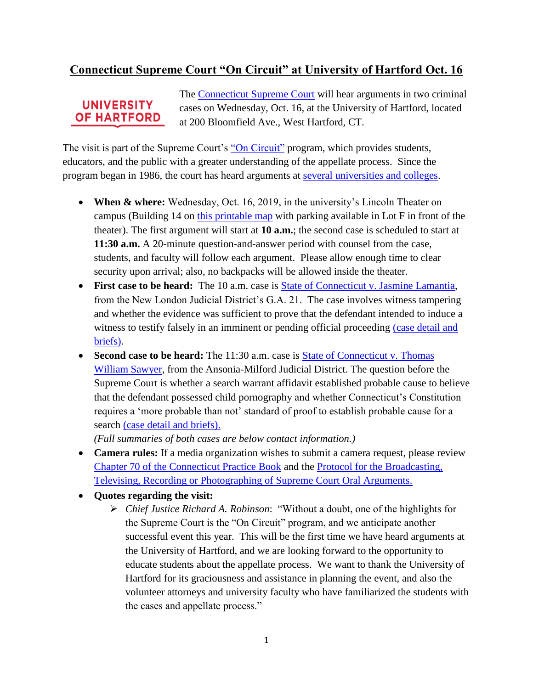## **Connecticut Supreme Court "On Circuit" at University of Hartford Oct. 16**

## **UNIVERSITY OF HARTFORD**

The [Connecticut Supreme Court](https://linkprotect.cudasvc.com/url?a=https%3a%2f%2fjud.ct.gov%2fsupremecourt%2f&c=E,1,3t_UdCy8WLQ9xfdom0-AMbQW5vBFq--ddCeORgi9C8AzYxw2m46j8G245axR7lcX6kPY5xepNODa1LBRWVQYdtw2ItHYr9GVPwjaYZfILesH9wivqYmCHhrU&typo=1) will hear arguments in two criminal cases on Wednesday, Oct. 16, at the University of Hartford, located at 200 Bloomfield Ave., West Hartford, CT.

The visit is part of the Supreme Court's ["On Circuit"](https://linkprotect.cudasvc.com/url?a=https%3a%2f%2fwww.jud.ct.gov%2fexternal%2fsupapp%2fCircuit%2fdefault.htm&c=E,1,NZEkEPgPcs5S7PIeBk6zXSAKkkfU6mD6asBN9iLjw047OsqNMoevQzUJNE32MSADVZm-2mIkmOookPpv09A3T7GCUAabvMwT2S6x-JuxnjCuJ9A08Q,,&typo=1) program, which provides students, educators, and the public with a greater understanding of the appellate process. Since the program began in 1986, the court has heard arguments at [several universities and colleges.](https://www.jud.ct.gov/external/supapp/Circuit/sup_dates.htm)

- **When & where:** Wednesday, Oct. 16, 2019, in the university's Lincoln Theater on campus (Building 14 on [this printable map](https://linkprotect.cudasvc.com/url?a=https%3a%2f%2fwww.hartford.edu%2fstudent-life%2f_files%2funiversity-hartford-campus-map.pdf&c=E,1,X89gyhduSitLh5RuXeWApv6merRUNNyGrg5patQHUyeUoAaPJwVyuup2JdvcNk0ujrIHbNRmRj-HMt3JcDonm9PYknjX1KwyCYn0yY_MishDbq80FdSFyA,,&typo=1) with parking available in Lot F in front of the theater). The first argument will start at **10 a.m.**; the second case is scheduled to start at **11:30 a.m.** A 20-minute question-and-answer period with counsel from the case, students, and faculty will follow each argument. Please allow enough time to clear security upon arrival; also, no backpacks will be allowed inside the theater.
- **First case to be heard:** The 10 a.m. case is [State of Connecticut v. Jasmine Lamantia,](https://linkprotect.cudasvc.com/url?a=https%3a%2f%2fjud.ct.gov%2fexternal%2fsupapp%2fsummaries%2fdocket%2f20190.htm&c=E,1,66CxkKBDkEHUkIkbFAg7to3cjUydvzSGUdGomv328FydLRHtiu8CgF4xSPyDDUrjrjra1f6-lNav2MP5_Fd75tV1Jmr3LQ9KzJAKAYSx6smVVtLKOUOapHUV6xo,&typo=1) from the New London Judicial District's G.A. 21. The case involves witness tampering and whether the evidence was sufficient to prove that the defendant intended to induce a witness to testify falsely in an imminent or pending official proceeding [\(case detail and](https://linkprotect.cudasvc.com/url?a=http%3a%2f%2fappellateinquiry.jud.ct.gov%2fCaseDetail.aspx%3fCRN%3d59774%26Type%3dAppealNo&c=E,1,SjxuTvEuFe7_hU_52NCKNHLhh8hdfdcPm-7zZ11E66ZBDkdimO4FIp8fzjWS772XVEcZV9JCr-CX3c8_oDw0ikqW89yHLma-vabDM75OMetRyJ0TGO0EJdDFnw,,&typo=1)  [briefs\).](https://linkprotect.cudasvc.com/url?a=http%3a%2f%2fappellateinquiry.jud.ct.gov%2fCaseDetail.aspx%3fCRN%3d59774%26Type%3dAppealNo&c=E,1,SjxuTvEuFe7_hU_52NCKNHLhh8hdfdcPm-7zZ11E66ZBDkdimO4FIp8fzjWS772XVEcZV9JCr-CX3c8_oDw0ikqW89yHLma-vabDM75OMetRyJ0TGO0EJdDFnw,,&typo=1)
- **Second case to be heard:** The 11:30 a.m. case is [State of Connecticut v. Thomas](https://linkprotect.cudasvc.com/url?a=https%3a%2f%2fjud.ct.gov%2fexternal%2fsupapp%2fsummaries%2fdocket%2f20132.htm&c=E,1,y8rsEWrS2PJjIsytZeb7MJtLE2OeZHkKr1nGbS5zR4IgarIzQFQlTBgm3_Eod0jGcDwqmQqnZRriZnM2A8K0NIAlSd9bw0G8FuRFaIi0hh2eI0Ts92Tw&typo=1)  [William Sawyer,](https://linkprotect.cudasvc.com/url?a=https%3a%2f%2fjud.ct.gov%2fexternal%2fsupapp%2fsummaries%2fdocket%2f20132.htm&c=E,1,y8rsEWrS2PJjIsytZeb7MJtLE2OeZHkKr1nGbS5zR4IgarIzQFQlTBgm3_Eod0jGcDwqmQqnZRriZnM2A8K0NIAlSd9bw0G8FuRFaIi0hh2eI0Ts92Tw&typo=1) from the Ansonia-Milford Judicial District. The question before the Supreme Court is whether a search warrant affidavit established probable cause to believe that the defendant possessed child pornography and whether Connecticut's Constitution requires a 'more probable than not' standard of proof to establish probable cause for a search [\(case detail and briefs\).](https://linkprotect.cudasvc.com/url?a=http%3a%2f%2fappellateinquiry.jud.ct.gov%2fCaseDetail.aspx%3fCRN%3d58992%26Type%3dAppealNo&c=E,1,juwOSLbnF5Q5uLwcwo5zaKP5LTHXmA1UOEr1E2jmIY97LiP_M6IPu9TChOJS8sMeOM4hsyAOWhS3X3CDl9wQagWbuNQxuFpMU3qeB-5RRiIy5mEqSlydUgy8&typo=1)

*(Full summaries of both cases are below contact information.)*

- **Camera rules:** If a media organization wishes to submit a camera request, please review [Chapter 70 of the Connecticut Practice Book](https://linkprotect.cudasvc.com/url?a=http%3a%2f%2fwww.jud.ct.gov%2fpb.htm&c=E,1,lOH-hBy_vO2cS19o5TVIPsPiaDldi0ah3cB1xNuNYw95fiqIPXHUQeuNQpv1cEUcT_4_3JaUPUImggnjXORCQ2u8LB1aIfWQix7u0Ikf2xh9HSvEpEQIzg,,&typo=1) and the [Protocol for the Broadcasting,](https://linkprotect.cudasvc.com/url?a=http%3a%2f%2fwww.jud.ct.gov%2fexternal%2fsupapp%2fprotocol_sup_oral_argu.htm&c=E,1,m_vGb301pjmWMnEjDd3A7XBX7lX2o6TpKJ-eM26HOG3Ajb9UIcrFyDNB18pPpWDyzB-xJ2MlMR07IDcKXYizsuluV9wEsg_qIoGjwGlAMcsGz06SZA,,&typo=1)  [Televising, Recording or Photographing of Supreme Court Oral Arguments.](https://linkprotect.cudasvc.com/url?a=http%3a%2f%2fwww.jud.ct.gov%2fexternal%2fsupapp%2fprotocol_sup_oral_argu.htm&c=E,1,m_vGb301pjmWMnEjDd3A7XBX7lX2o6TpKJ-eM26HOG3Ajb9UIcrFyDNB18pPpWDyzB-xJ2MlMR07IDcKXYizsuluV9wEsg_qIoGjwGlAMcsGz06SZA,,&typo=1)
- **Quotes regarding the visit:**
	- *Chief Justice Richard A. Robinson*: "Without a doubt, one of the highlights for the Supreme Court is the "On Circuit" program, and we anticipate another successful event this year. This will be the first time we have heard arguments at the University of Hartford, and we are looking forward to the opportunity to educate students about the appellate process. We want to thank the University of Hartford for its graciousness and assistance in planning the event, and also the volunteer attorneys and university faculty who have familiarized the students with the cases and appellate process."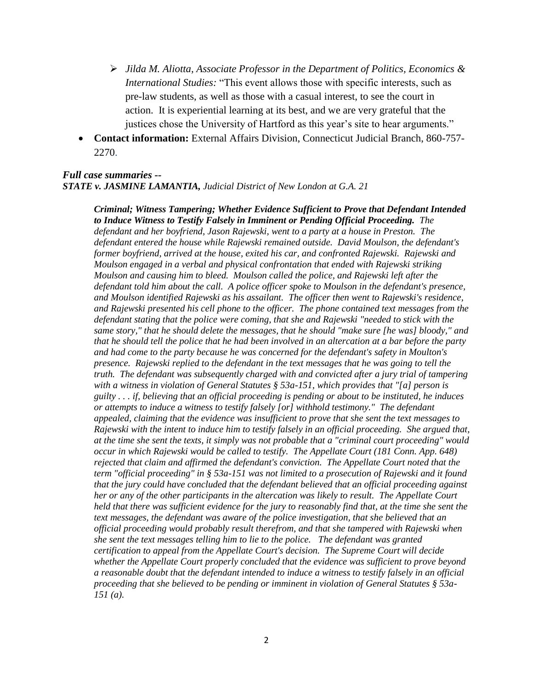- *Jilda M. Aliotta, Associate Professor in the Department of Politics, Economics & International Studies:* "This event allows those with specific interests, such as pre-law students, as well as those with a casual interest, to see the court in action. It is experiential learning at its best, and we are very grateful that the justices chose the University of Hartford as this year's site to hear arguments."
- **Contact information:** External Affairs Division, Connecticut Judicial Branch, 860-757- 2270.

## *Full case summaries -- STATE v. JASMINE LAMANTIA, Judicial District of New London at G.A. 21*

*Criminal; Witness Tampering; Whether Evidence Sufficient to Prove that Defendant Intended to Induce Witness to Testify Falsely in Imminent or Pending Official Proceeding. The defendant and her boyfriend, Jason Rajewski, went to a party at a house in Preston. The defendant entered the house while Rajewski remained outside. David Moulson, the defendant's former boyfriend, arrived at the house, exited his car, and confronted Rajewski. Rajewski and Moulson engaged in a verbal and physical confrontation that ended with Rajewski striking Moulson and causing him to bleed. Moulson called the police, and Rajewski left after the defendant told him about the call. A police officer spoke to Moulson in the defendant's presence, and Moulson identified Rajewski as his assailant. The officer then went to Rajewski's residence, and Rajewski presented his cell phone to the officer. The phone contained text messages from the defendant stating that the police were coming, that she and Rajewski "needed to stick with the same story," that he should delete the messages, that he should "make sure [he was] bloody," and that he should tell the police that he had been involved in an altercation at a bar before the party and had come to the party because he was concerned for the defendant's safety in Moulton's presence. Rajewski replied to the defendant in the text messages that he was going to tell the truth. The defendant was subsequently charged with and convicted after a jury trial of tampering with a witness in violation of General Statutes § 53a-151, which provides that "[a] person is guilty . . . if, believing that an official proceeding is pending or about to be instituted, he induces or attempts to induce a witness to testify falsely [or] withhold testimony." The defendant appealed, claiming that the evidence was insufficient to prove that she sent the text messages to Rajewski with the intent to induce him to testify falsely in an official proceeding. She argued that, at the time she sent the texts, it simply was not probable that a "criminal court proceeding" would occur in which Rajewski would be called to testify. The Appellate Court (181 Conn. App. 648) rejected that claim and affirmed the defendant's conviction. The Appellate Court noted that the term "official proceeding" in § 53a-151 was not limited to a prosecution of Rajewski and it found that the jury could have concluded that the defendant believed that an official proceeding against her or any of the other participants in the altercation was likely to result. The Appellate Court held that there was sufficient evidence for the jury to reasonably find that, at the time she sent the text messages, the defendant was aware of the police investigation, that she believed that an official proceeding would probably result therefrom, and that she tampered with Rajewski when she sent the text messages telling him to lie to the police. The defendant was granted certification to appeal from the Appellate Court's decision. The Supreme Court will decide whether the Appellate Court properly concluded that the evidence was sufficient to prove beyond a reasonable doubt that the defendant intended to induce a witness to testify falsely in an official proceeding that she believed to be pending or imminent in violation of General Statutes § 53a-151 (a).*